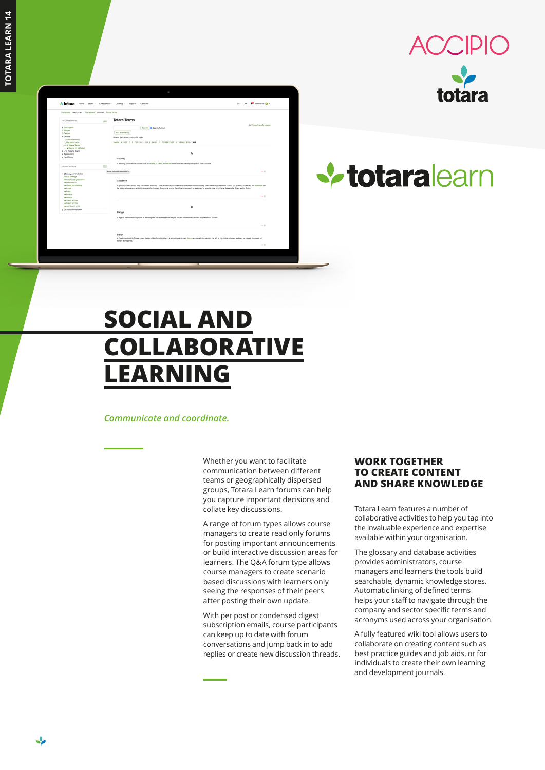❖

| <b>Totara Terms</b><br>Search 2 Search full text                                                                                                                      |                                                                                                                                                                                                                                                                                                                                                                 |
|-----------------------------------------------------------------------------------------------------------------------------------------------------------------------|-----------------------------------------------------------------------------------------------------------------------------------------------------------------------------------------------------------------------------------------------------------------------------------------------------------------------------------------------------------------|
|                                                                                                                                                                       |                                                                                                                                                                                                                                                                                                                                                                 |
|                                                                                                                                                                       | E. Printer-friendly version                                                                                                                                                                                                                                                                                                                                     |
| Add a new entry                                                                                                                                                       |                                                                                                                                                                                                                                                                                                                                                                 |
|                                                                                                                                                                       |                                                                                                                                                                                                                                                                                                                                                                 |
|                                                                                                                                                                       |                                                                                                                                                                                                                                                                                                                                                                 |
| Special   A   B   C   D   E   F   G   H   I   J   K   L   M   N   O   P   Q   R   S   T   U   V   W   X   Y   Z   ALL                                                 |                                                                                                                                                                                                                                                                                                                                                                 |
|                                                                                                                                                                       |                                                                                                                                                                                                                                                                                                                                                                 |
|                                                                                                                                                                       |                                                                                                                                                                                                                                                                                                                                                                 |
|                                                                                                                                                                       |                                                                                                                                                                                                                                                                                                                                                                 |
| Activity                                                                                                                                                              |                                                                                                                                                                                                                                                                                                                                                                 |
| A learning tool within a course such as a Quiz, SCORM, or Forum which involves active participation from learners.                                                    |                                                                                                                                                                                                                                                                                                                                                                 |
|                                                                                                                                                                       |                                                                                                                                                                                                                                                                                                                                                                 |
| Hide Administration block                                                                                                                                             | ×®                                                                                                                                                                                                                                                                                                                                                              |
|                                                                                                                                                                       |                                                                                                                                                                                                                                                                                                                                                                 |
| Audience                                                                                                                                                              |                                                                                                                                                                                                                                                                                                                                                                 |
|                                                                                                                                                                       |                                                                                                                                                                                                                                                                                                                                                                 |
| be assigned access or visibility to specific Courses, Programs, and/or Certifications as well as assigned to specific Learning Plans, Appraisals, Goals and/or Roles. |                                                                                                                                                                                                                                                                                                                                                                 |
|                                                                                                                                                                       |                                                                                                                                                                                                                                                                                                                                                                 |
|                                                                                                                                                                       | $\times 0$                                                                                                                                                                                                                                                                                                                                                      |
|                                                                                                                                                                       |                                                                                                                                                                                                                                                                                                                                                                 |
|                                                                                                                                                                       |                                                                                                                                                                                                                                                                                                                                                                 |
|                                                                                                                                                                       |                                                                                                                                                                                                                                                                                                                                                                 |
| Badge                                                                                                                                                                 |                                                                                                                                                                                                                                                                                                                                                                 |
|                                                                                                                                                                       |                                                                                                                                                                                                                                                                                                                                                                 |
|                                                                                                                                                                       |                                                                                                                                                                                                                                                                                                                                                                 |
|                                                                                                                                                                       | $\times$ $\oplus$                                                                                                                                                                                                                                                                                                                                               |
|                                                                                                                                                                       |                                                                                                                                                                                                                                                                                                                                                                 |
|                                                                                                                                                                       | Browse the glossary using this index<br>A<br>A group of users which may be created manually (a Set Audience) or added and updated automatically by users meeting predefined criteria (a Dynamic Audience). An Audience gan<br>B<br>A digital, verifiable recognition of learning and achievement that may be issued automatically based on predefined criteria. |



# **V** totaralearn

## **SOCIAL AND COLLABORATIVE LEARNING**

#### *Communicate and coordinate.*

Whether you want to facilitate communication between different teams or geographically dispersed groups, Totara Learn forums can help you capture important decisions and collate key discussions.

A range of forum types allows course managers to create read only forums for posting important announcements or build interactive discussion areas for learners. The Q&A forum type allows course managers to create scenario based discussions with learners only seeing the responses of their peers after posting their own update.

With per post or condensed digest subscription emails, course participants can keep up to date with forum conversations and jump back in to add replies or create new discussion threads.

#### **WORK TOGETHER TO CREATE CONTENT AND SHARE KNOWLEDGE**

Totara Learn features a number of collaborative activities to help you tap into the invaluable experience and expertise available within your organisation.

The glossary and database activities provides administrators, course managers and learners the tools build searchable, dynamic knowledge stores. Automatic linking of defined terms helps your staff to navigate through the company and sector specific terms and acronyms used across your organisation.

A fully featured wiki tool allows users to collaborate on creating content such as best practice guides and job aids, or for individuals to create their own learning and development journals.